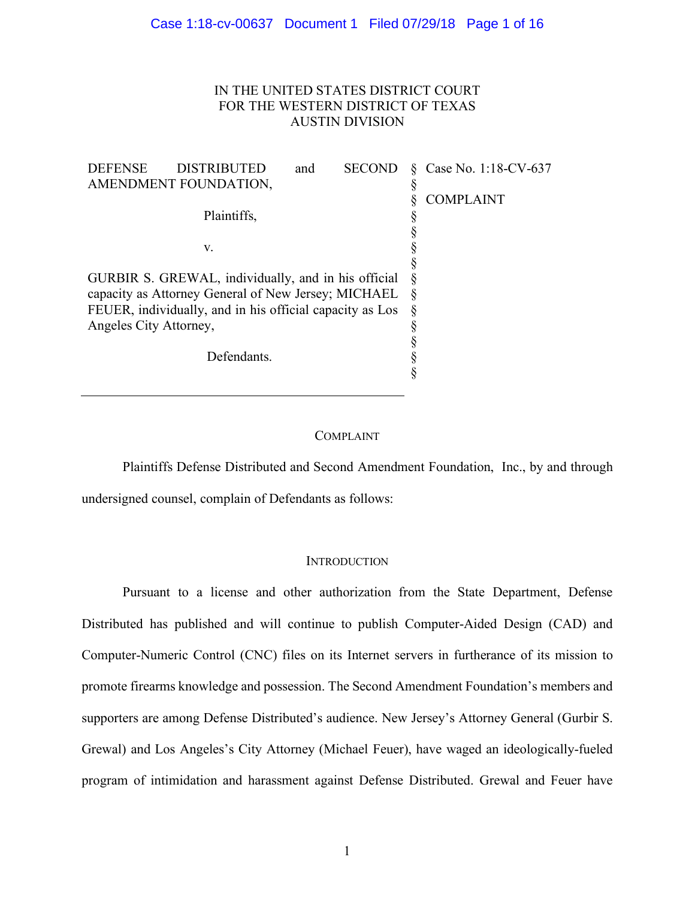# IN THE UNITED STATES DISTRICT COURT FOR THE WESTERN DISTRICT OF TEXAS AUSTIN DIVISION

| <b>DEFENSE</b>                                           | <b>DISTRIBUTED</b> | and | <b>SECOND</b> |   | Case No. 1:18-CV-637 |
|----------------------------------------------------------|--------------------|-----|---------------|---|----------------------|
| AMENDMENT FOUNDATION,                                    |                    |     | ş             |   |                      |
|                                                          |                    |     |               |   | <b>COMPLAINT</b>     |
|                                                          | Plaintiffs,        |     |               |   |                      |
|                                                          |                    |     |               |   |                      |
|                                                          | V.                 |     |               |   |                      |
|                                                          |                    |     |               |   |                      |
| GURBIR S. GREWAL, individually, and in his official      |                    |     |               |   |                      |
| capacity as Attorney General of New Jersey; MICHAEL      |                    |     |               |   |                      |
| FEUER, individually, and in his official capacity as Los |                    |     |               | Ş |                      |
| Angeles City Attorney,                                   |                    |     |               |   |                      |
|                                                          |                    |     |               |   |                      |
| Defendants.                                              |                    |     |               |   |                      |
|                                                          |                    |     |               |   |                      |
|                                                          |                    |     |               |   |                      |

## COMPLAINT

Plaintiffs Defense Distributed and Second Amendment Foundation, Inc., by and through undersigned counsel, complain of Defendants as follows:

## **INTRODUCTION**

Pursuant to a license and other authorization from the State Department, Defense Distributed has published and will continue to publish Computer-Aided Design (CAD) and Computer-Numeric Control (CNC) files on its Internet servers in furtherance of its mission to promote firearms knowledge and possession. The Second Amendment Foundation's members and supporters are among Defense Distributed's audience. New Jersey's Attorney General (Gurbir S. Grewal) and Los Angeles's City Attorney (Michael Feuer), have waged an ideologically-fueled program of intimidation and harassment against Defense Distributed. Grewal and Feuer have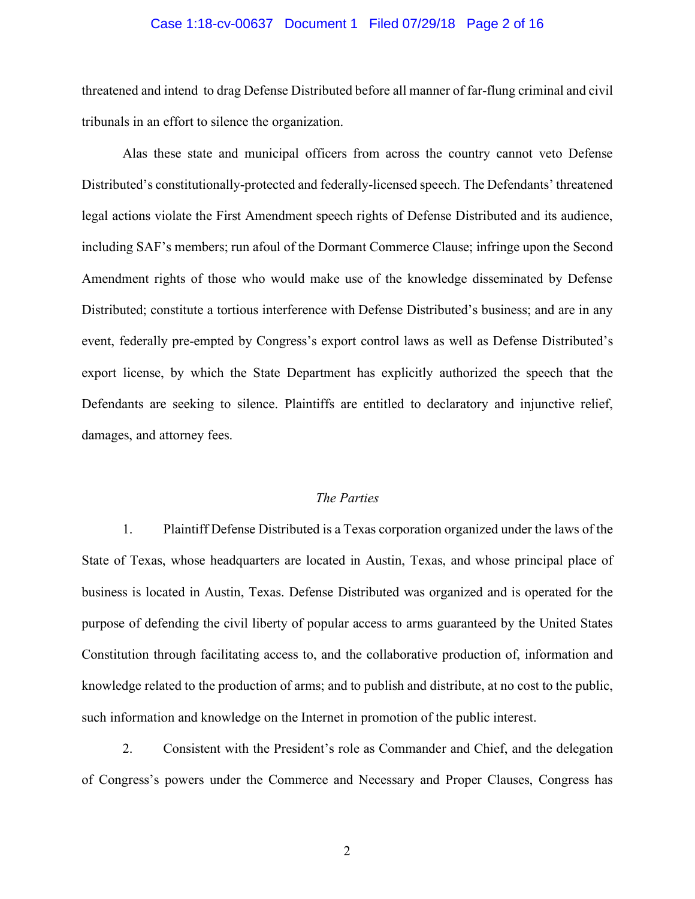## Case 1:18-cv-00637 Document 1 Filed 07/29/18 Page 2 of 16

threatened and intend to drag Defense Distributed before all manner of far-flung criminal and civil tribunals in an effort to silence the organization.

Alas these state and municipal officers from across the country cannot veto Defense Distributed's constitutionally-protected and federally-licensed speech. The Defendants' threatened legal actions violate the First Amendment speech rights of Defense Distributed and its audience, including SAF's members; run afoul of the Dormant Commerce Clause; infringe upon the Second Amendment rights of those who would make use of the knowledge disseminated by Defense Distributed; constitute a tortious interference with Defense Distributed's business; and are in any event, federally pre-empted by Congress's export control laws as well as Defense Distributed's export license, by which the State Department has explicitly authorized the speech that the Defendants are seeking to silence. Plaintiffs are entitled to declaratory and injunctive relief, damages, and attorney fees.

## *The Parties*

1. Plaintiff Defense Distributed is a Texas corporation organized under the laws of the State of Texas, whose headquarters are located in Austin, Texas, and whose principal place of business is located in Austin, Texas. Defense Distributed was organized and is operated for the purpose of defending the civil liberty of popular access to arms guaranteed by the United States Constitution through facilitating access to, and the collaborative production of, information and knowledge related to the production of arms; and to publish and distribute, at no cost to the public, such information and knowledge on the Internet in promotion of the public interest.

2. Consistent with the President's role as Commander and Chief, and the delegation of Congress's powers under the Commerce and Necessary and Proper Clauses, Congress has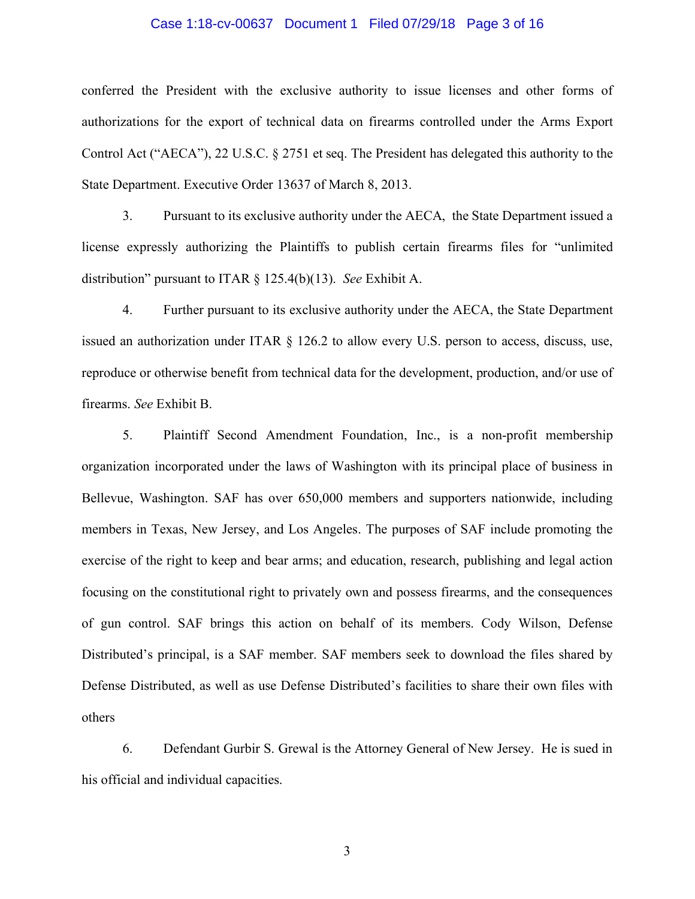## Case 1:18-cv-00637 Document 1 Filed 07/29/18 Page 3 of 16

conferred the President with the exclusive authority to issue licenses and other forms of authorizations for the export of technical data on firearms controlled under the Arms Export Control Act ("AECA"), 22 U.S.C. § 2751 et seq. The President has delegated this authority to the State Department. Executive Order 13637 of March 8, 2013.

3. Pursuant to its exclusive authority under the AECA, the State Department issued a license expressly authorizing the Plaintiffs to publish certain firearms files for "unlimited distribution" pursuant to ITAR § 125.4(b)(13). *See* Exhibit A.

4. Further pursuant to its exclusive authority under the AECA, the State Department issued an authorization under ITAR § 126.2 to allow every U.S. person to access, discuss, use, reproduce or otherwise benefit from technical data for the development, production, and/or use of firearms. *See* Exhibit B.

5. Plaintiff Second Amendment Foundation, Inc., is a non-profit membership organization incorporated under the laws of Washington with its principal place of business in Bellevue, Washington. SAF has over 650,000 members and supporters nationwide, including members in Texas, New Jersey, and Los Angeles. The purposes of SAF include promoting the exercise of the right to keep and bear arms; and education, research, publishing and legal action focusing on the constitutional right to privately own and possess firearms, and the consequences of gun control. SAF brings this action on behalf of its members. Cody Wilson, Defense Distributed's principal, is a SAF member. SAF members seek to download the files shared by Defense Distributed, as well as use Defense Distributed's facilities to share their own files with others

6. Defendant Gurbir S. Grewal is the Attorney General of New Jersey. He is sued in his official and individual capacities.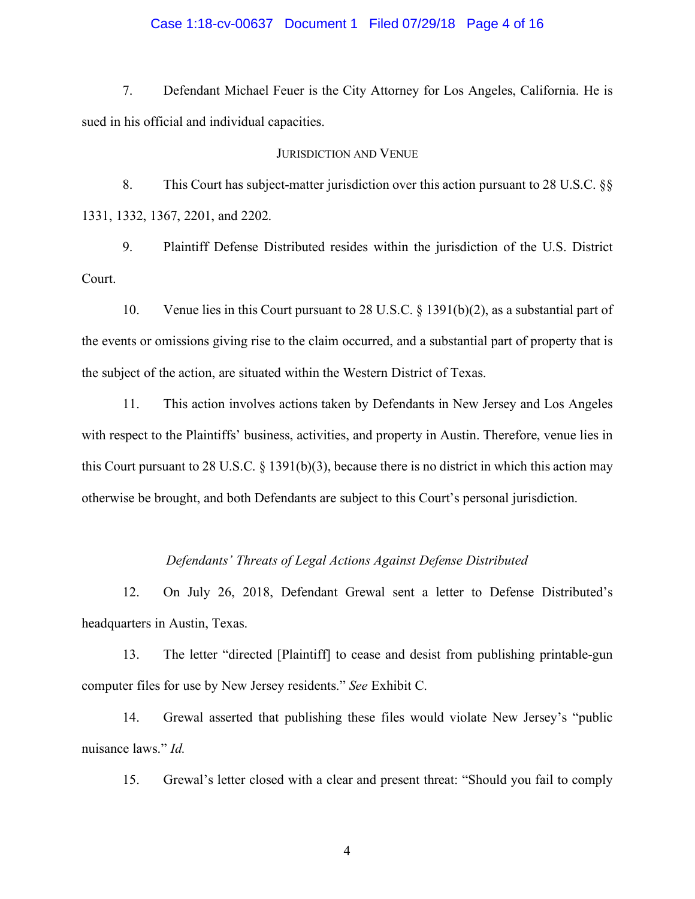## Case 1:18-cv-00637 Document 1 Filed 07/29/18 Page 4 of 16

7. Defendant Michael Feuer is the City Attorney for Los Angeles, California. He is sued in his official and individual capacities.

### JURISDICTION AND VENUE

8. This Court has subject-matter jurisdiction over this action pursuant to 28 U.S.C. §§ 1331, 1332, 1367, 2201, and 2202.

9. Plaintiff Defense Distributed resides within the jurisdiction of the U.S. District Court.

10. Venue lies in this Court pursuant to 28 U.S.C. § 1391(b)(2), as a substantial part of the events or omissions giving rise to the claim occurred, and a substantial part of property that is the subject of the action, are situated within the Western District of Texas.

11. This action involves actions taken by Defendants in New Jersey and Los Angeles with respect to the Plaintiffs' business, activities, and property in Austin. Therefore, venue lies in this Court pursuant to 28 U.S.C. § 1391(b)(3), because there is no district in which this action may otherwise be brought, and both Defendants are subject to this Court's personal jurisdiction.

## *Defendants' Threats of Legal Actions Against Defense Distributed*

12. On July 26, 2018, Defendant Grewal sent a letter to Defense Distributed's headquarters in Austin, Texas.

13. The letter "directed [Plaintiff] to cease and desist from publishing printable-gun computer files for use by New Jersey residents." *See* Exhibit C.

14. Grewal asserted that publishing these files would violate New Jersey's "public nuisance laws." *Id.*

15. Grewal's letter closed with a clear and present threat: "Should you fail to comply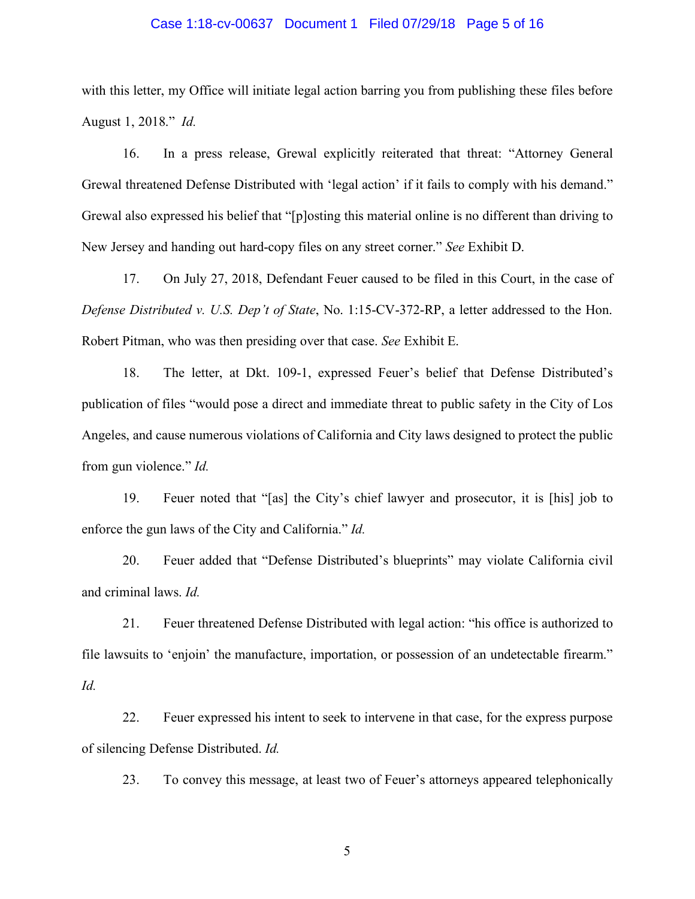## Case 1:18-cv-00637 Document 1 Filed 07/29/18 Page 5 of 16

with this letter, my Office will initiate legal action barring you from publishing these files before August 1, 2018." *Id.*

16. In a press release, Grewal explicitly reiterated that threat: "Attorney General Grewal threatened Defense Distributed with 'legal action' if it fails to comply with his demand." Grewal also expressed his belief that "[p]osting this material online is no different than driving to New Jersey and handing out hard-copy files on any street corner." *See* Exhibit D.

17. On July 27, 2018, Defendant Feuer caused to be filed in this Court, in the case of *Defense Distributed v. U.S. Dep't of State*, No. 1:15-CV-372-RP, a letter addressed to the Hon. Robert Pitman, who was then presiding over that case. *See* Exhibit E.

18. The letter, at Dkt. 109-1, expressed Feuer's belief that Defense Distributed's publication of files "would pose a direct and immediate threat to public safety in the City of Los Angeles, and cause numerous violations of California and City laws designed to protect the public from gun violence." *Id.*

19. Feuer noted that "[as] the City's chief lawyer and prosecutor, it is [his] job to enforce the gun laws of the City and California." *Id.*

20. Feuer added that "Defense Distributed's blueprints" may violate California civil and criminal laws. *Id.*

21. Feuer threatened Defense Distributed with legal action: "his office is authorized to file lawsuits to 'enjoin' the manufacture, importation, or possession of an undetectable firearm." *Id.*

22. Feuer expressed his intent to seek to intervene in that case, for the express purpose of silencing Defense Distributed. *Id.*

23. To convey this message, at least two of Feuer's attorneys appeared telephonically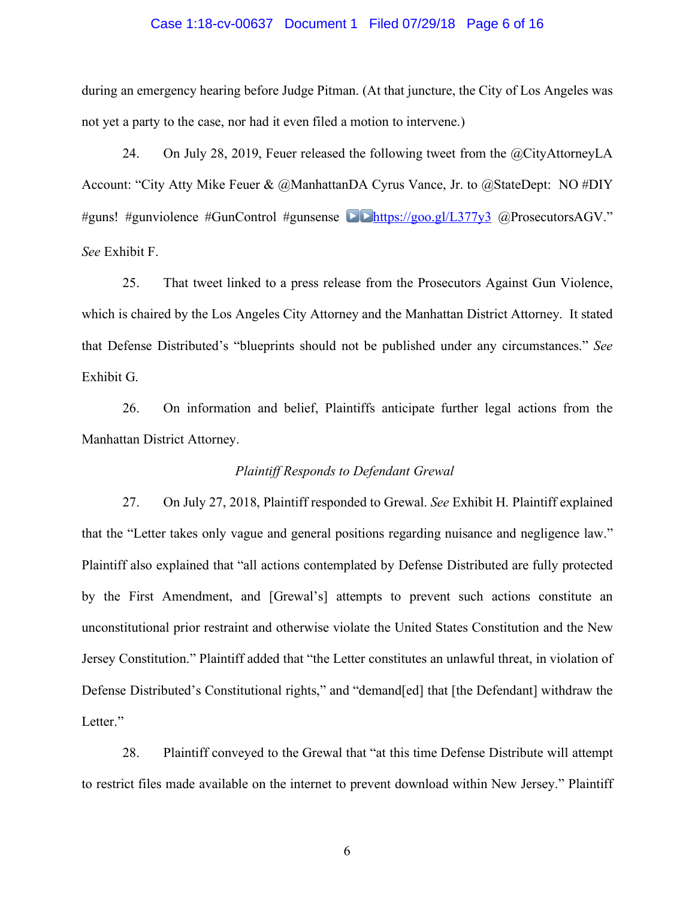## Case 1:18-cv-00637 Document 1 Filed 07/29/18 Page 6 of 16

during an emergency hearing before Judge Pitman. (At that juncture, the City of Los Angeles was not yet a party to the case, nor had it even filed a motion to intervene.)

24. On July 28, 2019, Feuer released the following tweet from the @CityAttorneyLA Account: "City Atty Mike Feuer & @ManhattanDA Cyrus Vance, Jr. to @StateDept: NO #DIY #guns! #gunviolence #GunControl #gunsense **DE**https://goo.gl/L377y3 @ProsecutorsAGV." *See* Exhibit F.

25. That tweet linked to a press release from the Prosecutors Against Gun Violence, which is chaired by the Los Angeles City Attorney and the Manhattan District Attorney. It stated that Defense Distributed's "blueprints should not be published under any circumstances." *See*  Exhibit G.

26. On information and belief, Plaintiffs anticipate further legal actions from the Manhattan District Attorney.

## *Plaintiff Responds to Defendant Grewal*

27. On July 27, 2018, Plaintiff responded to Grewal. *See* Exhibit H. Plaintiff explained that the "Letter takes only vague and general positions regarding nuisance and negligence law." Plaintiff also explained that "all actions contemplated by Defense Distributed are fully protected by the First Amendment, and [Grewal's] attempts to prevent such actions constitute an unconstitutional prior restraint and otherwise violate the United States Constitution and the New Jersey Constitution." Plaintiff added that "the Letter constitutes an unlawful threat, in violation of Defense Distributed's Constitutional rights," and "demand[ed] that [the Defendant] withdraw the Letter."

28. Plaintiff conveyed to the Grewal that "at this time Defense Distribute will attempt to restrict files made available on the internet to prevent download within New Jersey." Plaintiff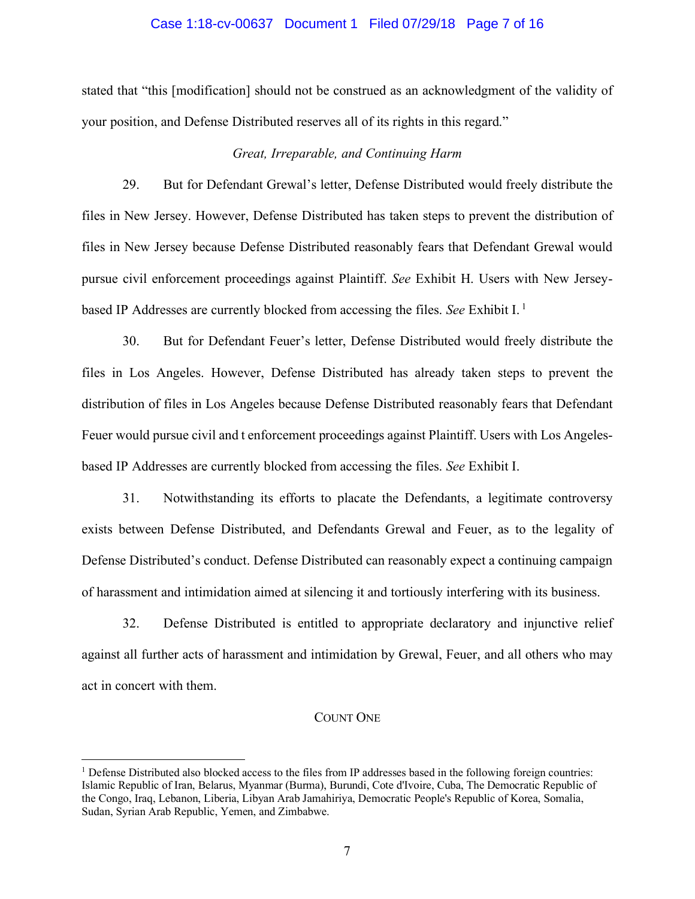## Case 1:18-cv-00637 Document 1 Filed 07/29/18 Page 7 of 16

stated that "this [modification] should not be construed as an acknowledgment of the validity of your position, and Defense Distributed reserves all of its rights in this regard."

## *Great, Irreparable, and Continuing Harm*

29. But for Defendant Grewal's letter, Defense Distributed would freely distribute the files in New Jersey. However, Defense Distributed has taken steps to prevent the distribution of files in New Jersey because Defense Distributed reasonably fears that Defendant Grewal would pursue civil enforcement proceedings against Plaintiff. *See* Exhibit H. Users with New Jerseybased IP Addresses are currently blocked from accessing the files. *See* Exhibit I. <sup>1</sup>

30. But for Defendant Feuer's letter, Defense Distributed would freely distribute the files in Los Angeles. However, Defense Distributed has already taken steps to prevent the distribution of files in Los Angeles because Defense Distributed reasonably fears that Defendant Feuer would pursue civil and t enforcement proceedings against Plaintiff. Users with Los Angelesbased IP Addresses are currently blocked from accessing the files. *See* Exhibit I.

31. Notwithstanding its efforts to placate the Defendants, a legitimate controversy exists between Defense Distributed, and Defendants Grewal and Feuer, as to the legality of Defense Distributed's conduct. Defense Distributed can reasonably expect a continuing campaign of harassment and intimidation aimed at silencing it and tortiously interfering with its business.

32. Defense Distributed is entitled to appropriate declaratory and injunctive relief against all further acts of harassment and intimidation by Grewal, Feuer, and all others who may act in concert with them.

## COUNT ONE

<sup>1</sup> Defense Distributed also blocked access to the files from IP addresses based in the following foreign countries: Islamic Republic of Iran, Belarus, Myanmar (Burma), Burundi, Cote d'Ivoire, Cuba, The Democratic Republic of the Congo, Iraq, Lebanon, Liberia, Libyan Arab Jamahiriya, Democratic People's Republic of Korea, Somalia, Sudan, Syrian Arab Republic, Yemen, and Zimbabwe.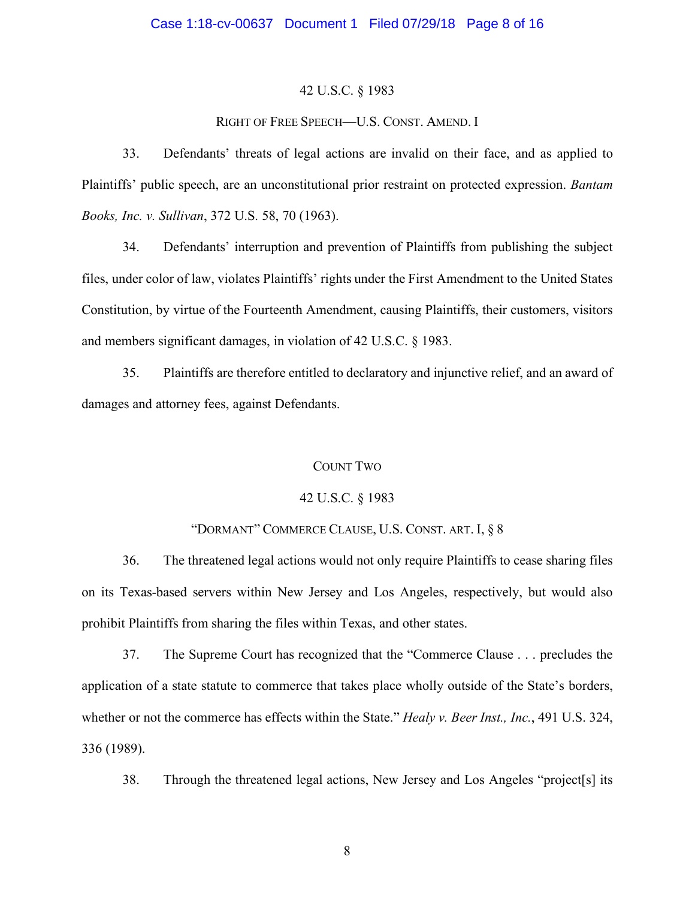## 42 U.S.C. § 1983

## RIGHT OF FREE SPEECH—U.S. CONST. AMEND. I

33. Defendants' threats of legal actions are invalid on their face, and as applied to Plaintiffs' public speech, are an unconstitutional prior restraint on protected expression. *Bantam Books, Inc. v. Sullivan*, 372 U.S. 58, 70 (1963).

34. Defendants' interruption and prevention of Plaintiffs from publishing the subject files, under color of law, violates Plaintiffs' rights under the First Amendment to the United States Constitution, by virtue of the Fourteenth Amendment, causing Plaintiffs, their customers, visitors and members significant damages, in violation of 42 U.S.C. § 1983.

35. Plaintiffs are therefore entitled to declaratory and injunctive relief, and an award of damages and attorney fees, against Defendants.

## COUNT TWO

## 42 U.S.C. § 1983

## "DORMANT" COMMERCE CLAUSE, U.S. CONST. ART. I, § 8

36. The threatened legal actions would not only require Plaintiffs to cease sharing files on its Texas-based servers within New Jersey and Los Angeles, respectively, but would also prohibit Plaintiffs from sharing the files within Texas, and other states.

37. The Supreme Court has recognized that the "Commerce Clause . . . precludes the application of a state statute to commerce that takes place wholly outside of the State's borders, whether or not the commerce has effects within the State." *Healy v. Beer Inst., Inc.*, 491 U.S. 324, 336 (1989).

38. Through the threatened legal actions, New Jersey and Los Angeles "project[s] its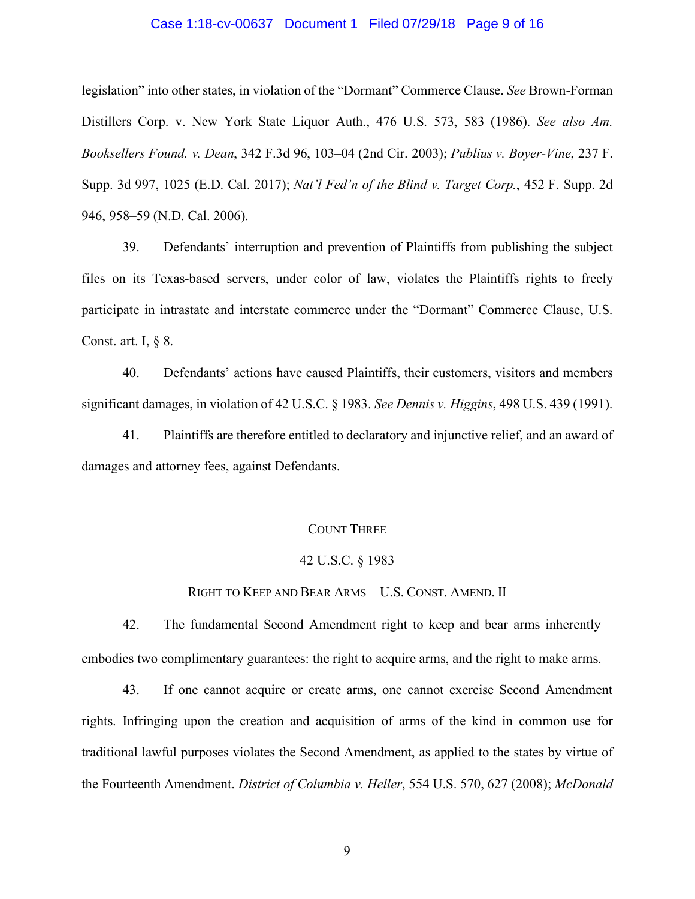## Case 1:18-cv-00637 Document 1 Filed 07/29/18 Page 9 of 16

legislation" into other states, in violation of the "Dormant" Commerce Clause. *See* Brown-Forman Distillers Corp. v. New York State Liquor Auth., 476 U.S. 573, 583 (1986). *See also Am. Booksellers Found. v. Dean*, 342 F.3d 96, 103–04 (2nd Cir. 2003); *Publius v. Boyer-Vine*, 237 F. Supp. 3d 997, 1025 (E.D. Cal. 2017); *Nat'l Fed'n of the Blind v. Target Corp.*, 452 F. Supp. 2d 946, 958–59 (N.D. Cal. 2006).

39. Defendants' interruption and prevention of Plaintiffs from publishing the subject files on its Texas-based servers, under color of law, violates the Plaintiffs rights to freely participate in intrastate and interstate commerce under the "Dormant" Commerce Clause, U.S. Const. art. I, § 8.

40. Defendants' actions have caused Plaintiffs, their customers, visitors and members significant damages, in violation of 42 U.S.C. § 1983. *See Dennis v. Higgins*, 498 U.S. 439 (1991).

41. Plaintiffs are therefore entitled to declaratory and injunctive relief, and an award of damages and attorney fees, against Defendants.

## COUNT THREE

## 42 U.S.C. § 1983

### RIGHT TO KEEP AND BEAR ARMS—U.S. CONST. AMEND. II

42. The fundamental Second Amendment right to keep and bear arms inherently embodies two complimentary guarantees: the right to acquire arms, and the right to make arms.

43. If one cannot acquire or create arms, one cannot exercise Second Amendment rights. Infringing upon the creation and acquisition of arms of the kind in common use for traditional lawful purposes violates the Second Amendment, as applied to the states by virtue of the Fourteenth Amendment. *District of Columbia v. Heller*, 554 U.S. 570, 627 (2008); *McDonald*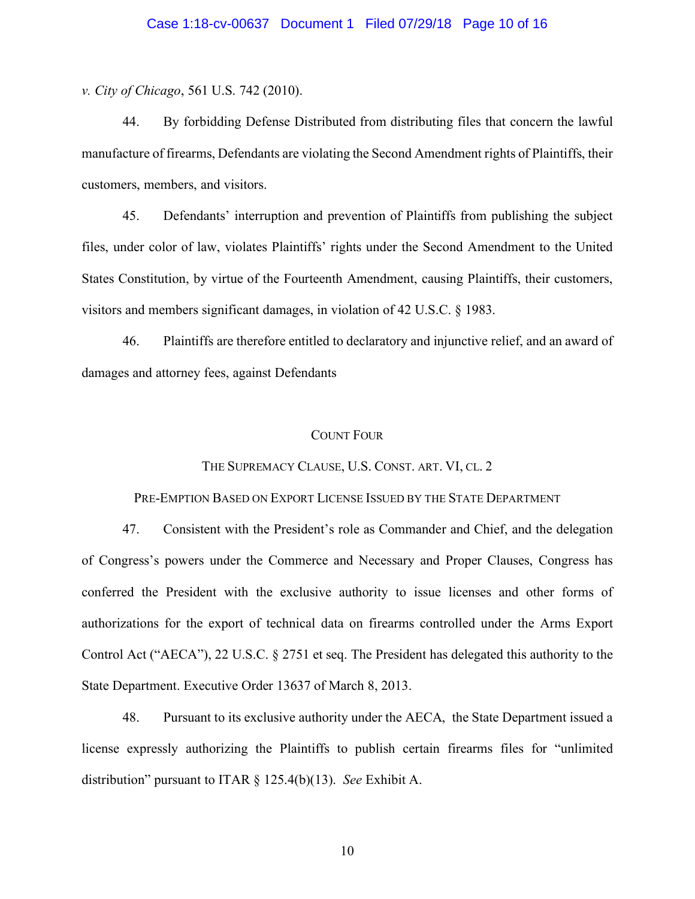## Case 1:18-cv-00637 Document 1 Filed 07/29/18 Page 10 of 16

*v. City of Chicago*, 561 U.S. 742 (2010).

44. By forbidding Defense Distributed from distributing files that concern the lawful manufacture of firearms, Defendants are violating the Second Amendment rights of Plaintiffs, their customers, members, and visitors.

45. Defendants' interruption and prevention of Plaintiffs from publishing the subject files, under color of law, violates Plaintiffs' rights under the Second Amendment to the United States Constitution, by virtue of the Fourteenth Amendment, causing Plaintiffs, their customers, visitors and members significant damages, in violation of 42 U.S.C. § 1983.

46. Plaintiffs are therefore entitled to declaratory and injunctive relief, and an award of damages and attorney fees, against Defendants

#### COUNT FOUR

## THE SUPREMACY CLAUSE, U.S. CONST. ART. VI, CL. 2

PRE-EMPTION BASED ON EXPORT LICENSE ISSUED BY THE STATE DEPARTMENT

47. Consistent with the President's role as Commander and Chief, and the delegation of Congress's powers under the Commerce and Necessary and Proper Clauses, Congress has conferred the President with the exclusive authority to issue licenses and other forms of authorizations for the export of technical data on firearms controlled under the Arms Export Control Act ("AECA"), 22 U.S.C. § 2751 et seq. The President has delegated this authority to the State Department. Executive Order 13637 of March 8, 2013.

48. Pursuant to its exclusive authority under the AECA, the State Department issued a license expressly authorizing the Plaintiffs to publish certain firearms files for "unlimited distribution" pursuant to ITAR § 125.4(b)(13). *See* Exhibit A.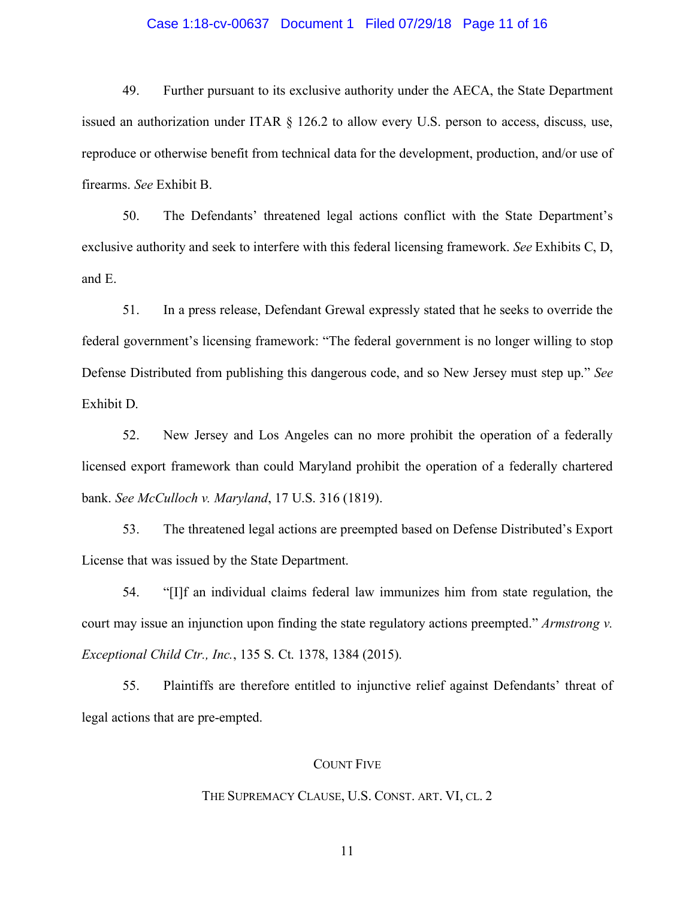## Case 1:18-cv-00637 Document 1 Filed 07/29/18 Page 11 of 16

49. Further pursuant to its exclusive authority under the AECA, the State Department issued an authorization under ITAR § 126.2 to allow every U.S. person to access, discuss, use, reproduce or otherwise benefit from technical data for the development, production, and/or use of firearms. *See* Exhibit B.

50. The Defendants' threatened legal actions conflict with the State Department's exclusive authority and seek to interfere with this federal licensing framework. *See* Exhibits C, D, and E.

51. In a press release, Defendant Grewal expressly stated that he seeks to override the federal government's licensing framework: "The federal government is no longer willing to stop Defense Distributed from publishing this dangerous code, and so New Jersey must step up." *See* Exhibit D.

52. New Jersey and Los Angeles can no more prohibit the operation of a federally licensed export framework than could Maryland prohibit the operation of a federally chartered bank. *See McCulloch v. Maryland*, 17 U.S. 316 (1819).

53. The threatened legal actions are preempted based on Defense Distributed's Export License that was issued by the State Department.

54. "[I]f an individual claims federal law immunizes him from state regulation, the court may issue an injunction upon finding the state regulatory actions preempted." *Armstrong v. Exceptional Child Ctr., Inc.*, 135 S. Ct. 1378, 1384 (2015).

55. Plaintiffs are therefore entitled to injunctive relief against Defendants' threat of legal actions that are pre-empted.

## COUNT FIVE

#### THE SUPREMACY CLAUSE, U.S. CONST. ART. VI, CL. 2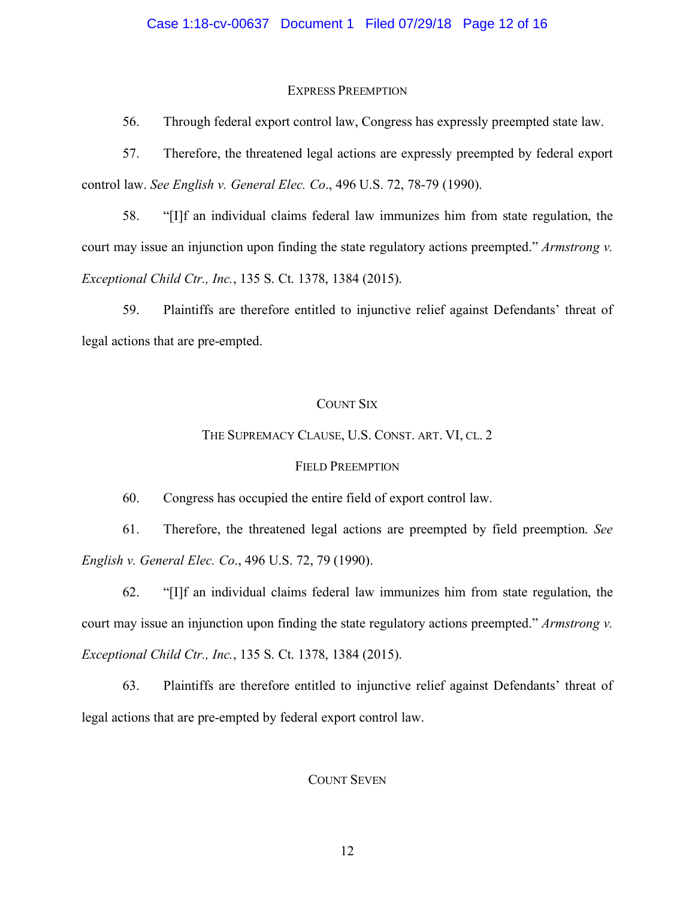## Case 1:18-cv-00637 Document 1 Filed 07/29/18 Page 12 of 16

## EXPRESS PREEMPTION

56. Through federal export control law, Congress has expressly preempted state law.

57. Therefore, the threatened legal actions are expressly preempted by federal export control law. *See English v. General Elec. Co*., 496 U.S. 72, 78-79 (1990).

58. "[I]f an individual claims federal law immunizes him from state regulation, the court may issue an injunction upon finding the state regulatory actions preempted." *Armstrong v. Exceptional Child Ctr., Inc.*, 135 S. Ct. 1378, 1384 (2015).

59. Plaintiffs are therefore entitled to injunctive relief against Defendants' threat of legal actions that are pre-empted.

## COUNT SIX

## THE SUPREMACY CLAUSE, U.S. CONST. ART. VI, CL. 2

#### FIELD PREEMPTION

60. Congress has occupied the entire field of export control law.

61. Therefore, the threatened legal actions are preempted by field preemption. *See English v. General Elec. Co*., 496 U.S. 72, 79 (1990).

62. "[I]f an individual claims federal law immunizes him from state regulation, the court may issue an injunction upon finding the state regulatory actions preempted." *Armstrong v. Exceptional Child Ctr., Inc.*, 135 S. Ct. 1378, 1384 (2015).

63. Plaintiffs are therefore entitled to injunctive relief against Defendants' threat of legal actions that are pre-empted by federal export control law.

## COUNT SEVEN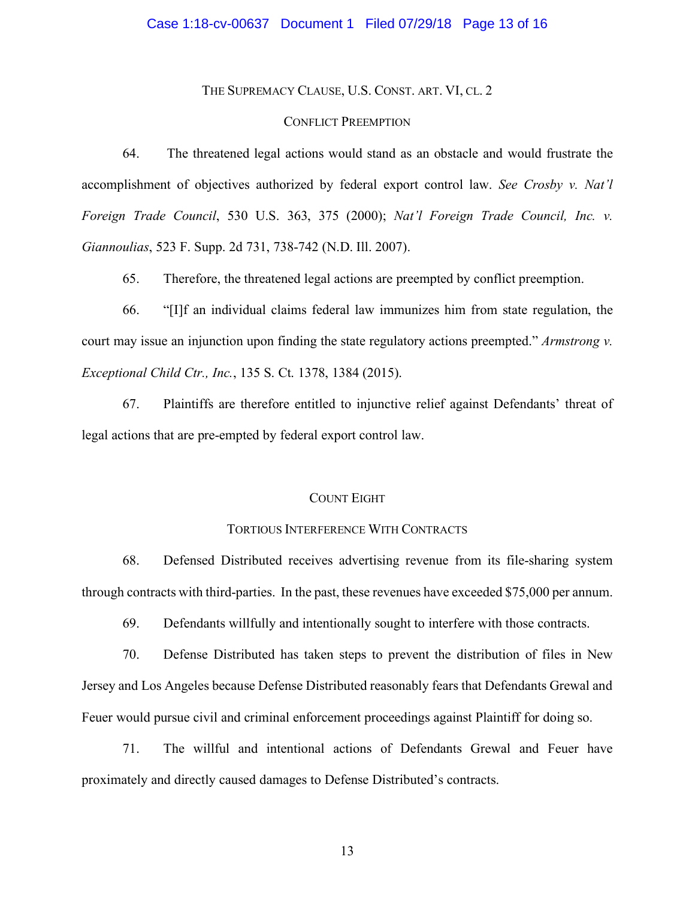### Case 1:18-cv-00637 Document 1 Filed 07/29/18 Page 13 of 16

THE SUPREMACY CLAUSE, U.S. CONST. ART. VI, CL. 2

## CONFLICT PREEMPTION

64. The threatened legal actions would stand as an obstacle and would frustrate the accomplishment of objectives authorized by federal export control law. *See Crosby v. Nat'l Foreign Trade Council*, 530 U.S. 363, 375 (2000); *Nat'l Foreign Trade Council, Inc. v. Giannoulias*, 523 F. Supp. 2d 731, 738-742 (N.D. Ill. 2007).

65. Therefore, the threatened legal actions are preempted by conflict preemption.

66. "[I]f an individual claims federal law immunizes him from state regulation, the court may issue an injunction upon finding the state regulatory actions preempted." *Armstrong v. Exceptional Child Ctr., Inc.*, 135 S. Ct. 1378, 1384 (2015).

67. Plaintiffs are therefore entitled to injunctive relief against Defendants' threat of legal actions that are pre-empted by federal export control law.

## COUNT EIGHT

#### TORTIOUS INTERFERENCE WITH CONTRACTS

68. Defensed Distributed receives advertising revenue from its file-sharing system through contracts with third-parties. In the past, these revenues have exceeded \$75,000 per annum.

69. Defendants willfully and intentionally sought to interfere with those contracts.

70. Defense Distributed has taken steps to prevent the distribution of files in New Jersey and Los Angeles because Defense Distributed reasonably fears that Defendants Grewal and Feuer would pursue civil and criminal enforcement proceedings against Plaintiff for doing so.

71. The willful and intentional actions of Defendants Grewal and Feuer have proximately and directly caused damages to Defense Distributed's contracts.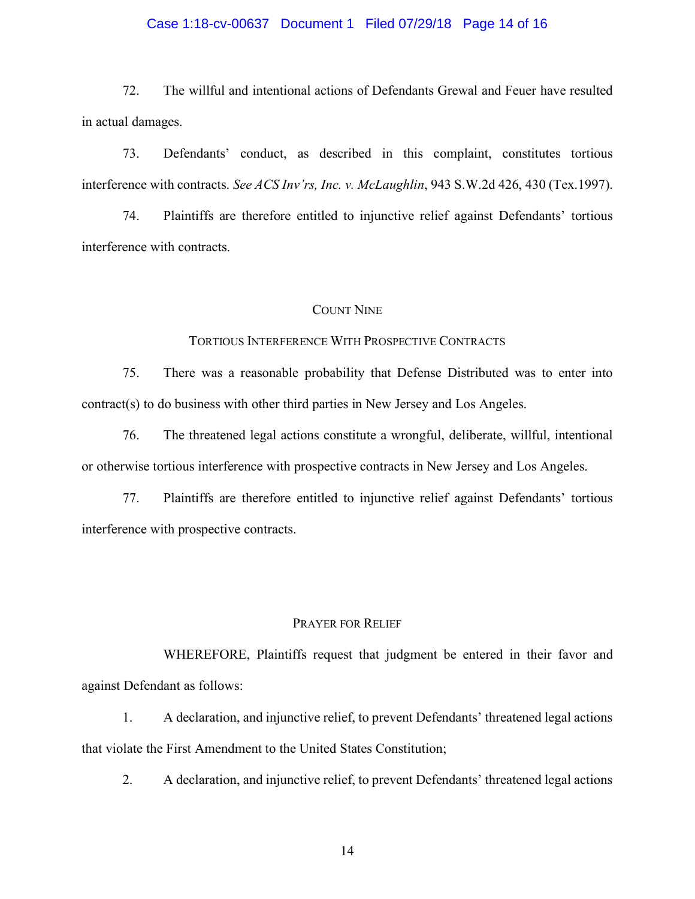## Case 1:18-cv-00637 Document 1 Filed 07/29/18 Page 14 of 16

72. The willful and intentional actions of Defendants Grewal and Feuer have resulted in actual damages.

73. Defendants' conduct, as described in this complaint, constitutes tortious interference with contracts. *See ACS Inv'rs, Inc. v. McLaughlin*, 943 S.W.2d 426, 430 (Tex.1997).

74. Plaintiffs are therefore entitled to injunctive relief against Defendants' tortious interference with contracts.

#### COUNT NINE

## TORTIOUS INTERFERENCE WITH PROSPECTIVE CONTRACTS

75. There was a reasonable probability that Defense Distributed was to enter into contract(s) to do business with other third parties in New Jersey and Los Angeles.

76. The threatened legal actions constitute a wrongful, deliberate, willful, intentional or otherwise tortious interference with prospective contracts in New Jersey and Los Angeles.

77. Plaintiffs are therefore entitled to injunctive relief against Defendants' tortious interference with prospective contracts.

## PRAYER FOR RELIEF

WHEREFORE, Plaintiffs request that judgment be entered in their favor and against Defendant as follows:

1. A declaration, and injunctive relief, to prevent Defendants' threatened legal actions that violate the First Amendment to the United States Constitution;

2. A declaration, and injunctive relief, to prevent Defendants' threatened legal actions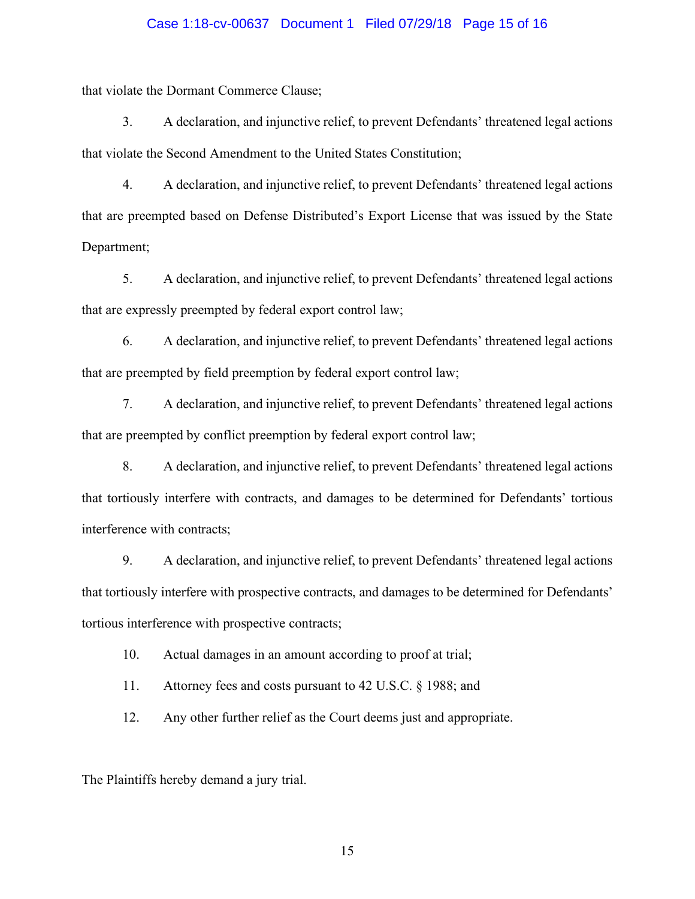## Case 1:18-cv-00637 Document 1 Filed 07/29/18 Page 15 of 16

that violate the Dormant Commerce Clause;

3. A declaration, and injunctive relief, to prevent Defendants' threatened legal actions that violate the Second Amendment to the United States Constitution;

4. A declaration, and injunctive relief, to prevent Defendants' threatened legal actions that are preempted based on Defense Distributed's Export License that was issued by the State Department;

5. A declaration, and injunctive relief, to prevent Defendants' threatened legal actions that are expressly preempted by federal export control law;

6. A declaration, and injunctive relief, to prevent Defendants' threatened legal actions that are preempted by field preemption by federal export control law;

7. A declaration, and injunctive relief, to prevent Defendants' threatened legal actions that are preempted by conflict preemption by federal export control law;

8. A declaration, and injunctive relief, to prevent Defendants' threatened legal actions that tortiously interfere with contracts, and damages to be determined for Defendants' tortious interference with contracts;

9. A declaration, and injunctive relief, to prevent Defendants' threatened legal actions that tortiously interfere with prospective contracts, and damages to be determined for Defendants' tortious interference with prospective contracts;

10. Actual damages in an amount according to proof at trial;

11. Attorney fees and costs pursuant to 42 U.S.C. § 1988; and

12. Any other further relief as the Court deems just and appropriate.

The Plaintiffs hereby demand a jury trial.